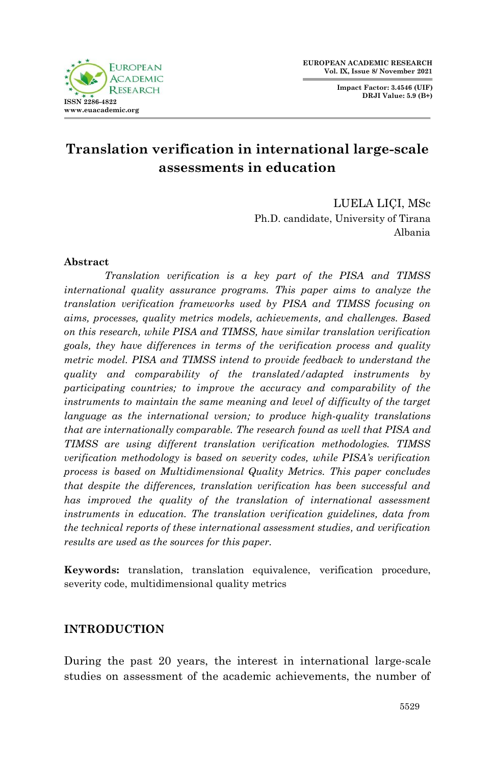**Impact Factor: 3.4546 (UIF) DRJI Value: 5.9 (B+)**



# **Translation verification in international large-scale assessments in education**

LUELA LIÇI, MSc Ph.D. candidate, University of Tirana Albania

### **Abstract**

*Translation verification is a key part of the PISA and TIMSS international quality assurance programs. This paper aims to analyze the translation verification frameworks used by PISA and TIMSS focusing on aims, processes, quality metrics models, achievements, and challenges. Based on this research, while PISA and TIMSS, have similar translation verification goals, they have differences in terms of the verification process and quality metric model. PISA and TIMSS intend to provide feedback to understand the quality and comparability of the translated/adapted instruments by participating countries; to improve the accuracy and comparability of the instruments to maintain the same meaning and level of difficulty of the target language as the international version; to produce high-quality translations that are internationally comparable. The research found as well that PISA and TIMSS are using different translation verification methodologies. TIMSS verification methodology is based on severity codes, while PISA's verification process is based on Multidimensional Quality Metrics. This paper concludes that despite the differences, translation verification has been successful and has improved the quality of the translation of international assessment instruments in education. The translation verification guidelines, data from the technical reports of these international assessment studies, and verification results are used as the sources for this paper.*

**Keywords:** translation, translation equivalence, verification procedure, severity code, multidimensional quality metrics

### **INTRODUCTION**

During the past 20 years, the interest in international large-scale studies on assessment of the academic achievements, the number of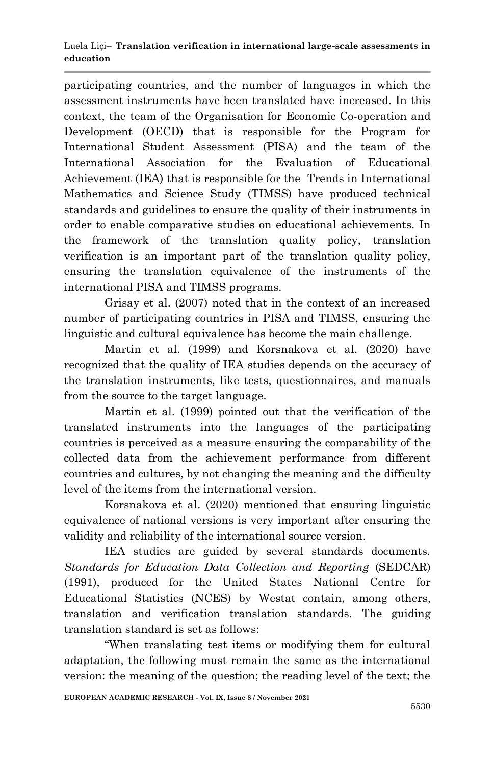participating countries, and the number of languages in which the assessment instruments have been translated have increased. In this context, the team of the Organisation for Economic Co-operation and Development (OECD) that is responsible for the Program for International Student Assessment (PISA) and the team of the International Association for the Evaluation of Educational Achievement (IEA) that is responsible for the Trends in International Mathematics and Science Study (TIMSS) have produced technical standards and guidelines to ensure the quality of their instruments in order to enable comparative studies on educational achievements. In the framework of the translation quality policy, translation verification is an important part of the translation quality policy, ensuring the translation equivalence of the instruments of the international PISA and TIMSS programs.

Grisay et al. (2007) noted that in the context of an increased number of participating countries in PISA and TIMSS, ensuring the linguistic and cultural equivalence has become the main challenge.

Martin et al. (1999) and Korsnakova et al. (2020) have recognized that the quality of IEA studies depends on the accuracy of the translation instruments, like tests, questionnaires, and manuals from the source to the target language.

Martin et al. (1999) pointed out that the verification of the translated instruments into the languages of the participating countries is perceived as a measure ensuring the comparability of the collected data from the achievement performance from different countries and cultures, by not changing the meaning and the difficulty level of the items from the international version.

Korsnakova et al. (2020) mentioned that ensuring linguistic equivalence of national versions is very important after ensuring the validity and reliability of the international source version.

IEA studies are guided by several standards documents. *Standards for Education Data Collection and Reporting* (SEDCAR) (1991), produced for the United States National Centre for Educational Statistics (NCES) by Westat contain, among others, translation and verification translation standards. The guiding translation standard is set as follows:

"When translating test items or modifying them for cultural adaptation, the following must remain the same as the international version: the meaning of the question; the reading level of the text; the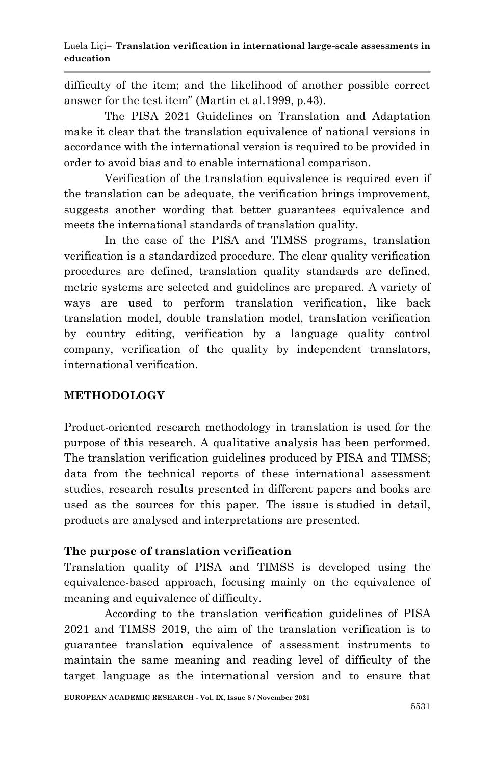difficulty of the item; and the likelihood of another possible correct answer for the test item" (Martin et al.1999, p.43).

The PISA 2021 Guidelines on Translation and Adaptation make it clear that the translation equivalence of national versions in accordance with the international version is required to be provided in order to avoid bias and to enable international comparison.

Verification of the translation equivalence is required even if the translation can be adequate, the verification brings improvement, suggests another wording that better guarantees equivalence and meets the international standards of translation quality.

In the case of the PISA and TIMSS programs, translation verification is a standardized procedure. The clear quality verification procedures are defined, translation quality standards are defined, metric systems are selected and guidelines are prepared. A variety of ways are used to perform translation verification, like back translation model, double translation model, translation verification by country editing, verification by a language quality control company, verification of the quality by independent translators, international verification.

# **METHODOLOGY**

Product-oriented research methodology in translation is used for the purpose of this research. A qualitative analysis has been performed. The translation verification guidelines produced by PISA and TIMSS; data from the technical reports of these international assessment studies, research results presented in different papers and books are used as the sources for this paper. The issue is studied in detail, products are analysed and interpretations are presented.

# **The purpose of translation verification**

Translation quality of PISA and TIMSS is developed using the equivalence-based approach, focusing mainly on the equivalence of meaning and equivalence of difficulty.

According to the translation verification guidelines of PISA 2021 and TIMSS 2019, the aim of the translation verification is to guarantee translation equivalence of assessment instruments to maintain the same meaning and reading level of difficulty of the target language as the international version and to ensure that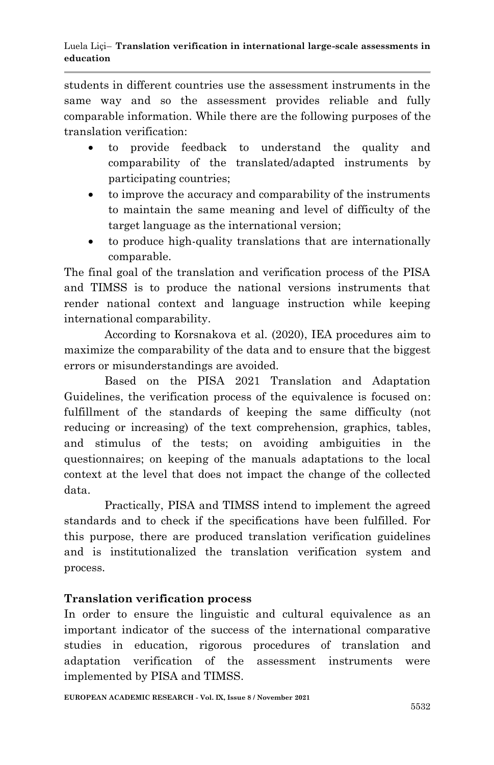students in different countries use the assessment instruments in the same way and so the assessment provides reliable and fully comparable information. While there are the following purposes of the translation verification:

- to provide feedback to understand the quality and comparability of the translated/adapted instruments by participating countries;
- to improve the accuracy and comparability of the instruments to maintain the same meaning and level of difficulty of the target language as the international version;
- to produce high-quality translations that are internationally comparable.

The final goal of the translation and verification process of the PISA and TIMSS is to produce the national versions instruments that render national context and language instruction while keeping international comparability.

According to Korsnakova et al. (2020), IEA procedures aim to maximize the comparability of the data and to ensure that the biggest errors or misunderstandings are avoided.

Based on the PISA 2021 Translation and Adaptation Guidelines, the verification process of the equivalence is focused on: fulfillment of the standards of keeping the same difficulty (not reducing or increasing) of the text comprehension, graphics, tables, and stimulus of the tests; on avoiding ambiguities in the questionnaires; on keeping of the manuals adaptations to the local context at the level that does not impact the change of the collected data.

Practically, PISA and TIMSS intend to implement the agreed standards and to check if the specifications have been fulfilled. For this purpose, there are produced translation verification guidelines and is institutionalized the translation verification system and process.

# **Translation verification process**

In order to ensure the linguistic and cultural equivalence as an important indicator of the success of the international comparative studies in education, rigorous procedures of translation and adaptation verification of the assessment instruments were implemented by PISA and TIMSS.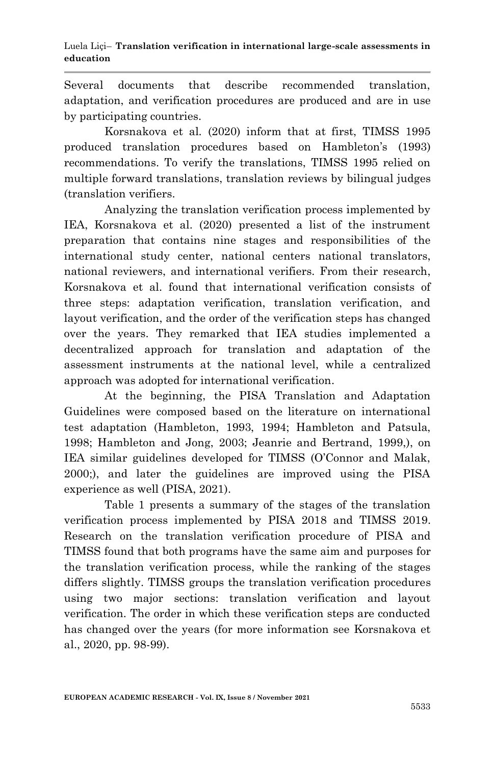Several documents that describe recommended translation, adaptation, and verification procedures are produced and are in use by participating countries.

Korsnakova et al. (2020) inform that at first, TIMSS 1995 produced translation procedures based on Hambleton's (1993) recommendations. To verify the translations, TIMSS 1995 relied on multiple forward translations, translation reviews by bilingual judges (translation verifiers.

Analyzing the translation verification process implemented by IEA, Korsnakova et al. (2020) presented a list of the instrument preparation that contains nine stages and responsibilities of the international study center, national centers national translators, national reviewers, and international verifiers. From their research, Korsnakova et al. found that international verification consists of three steps: adaptation verification, translation verification, and layout verification, and the order of the verification steps has changed over the years. They remarked that IEA studies implemented a decentralized approach for translation and adaptation of the assessment instruments at the national level, while a centralized approach was adopted for international verification.

At the beginning, the PISA Translation and Adaptation Guidelines were composed based on the literature on international test adaptation (Hambleton, 1993, 1994; Hambleton and Patsula, 1998; Hambleton and Jong, 2003; Jeanrie and Bertrand, 1999,), on IEA similar guidelines developed for TIMSS (O'Connor and Malak, 2000;), and later the guidelines are improved using the PISA experience as well (PISA, 2021).

Table 1 presents a summary of the stages of the translation verification process implemented by PISA 2018 and TIMSS 2019. Research on the translation verification procedure of PISA and TIMSS found that both programs have the same aim and purposes for the translation verification process, while the ranking of the stages differs slightly. TIMSS groups the translation verification procedures using two major sections: translation verification and layout verification. The order in which these verification steps are conducted has changed over the years (for more information see Korsnakova et al., 2020, pp. 98-99).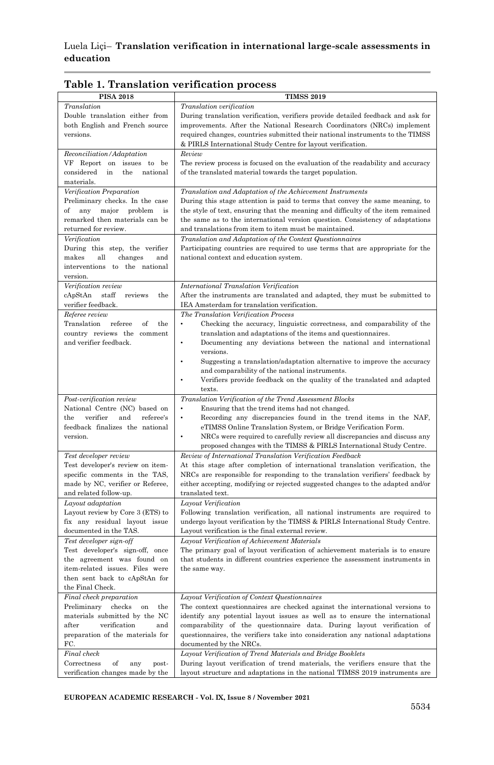| <b>PISA 2018</b>                            | <b>TIMSS 2019</b>                                                                     |
|---------------------------------------------|---------------------------------------------------------------------------------------|
| Translation                                 | Translation verification                                                              |
| Double translation either from              | During translation verification, verifiers provide detailed feedback and ask for      |
| both English and French source              | improvements. After the National Research Coordinators (NRCs) implement               |
| versions.                                   | required changes, countries submitted their national instruments to the TIMSS         |
|                                             | & PIRLS International Study Centre for layout verification.                           |
| Reconciliation/Adaptation                   | Review                                                                                |
| VF Report on issues to be                   | The review process is focused on the evaluation of the readability and accuracy       |
| considered<br>in<br>the<br>national         | of the translated material towards the target population.                             |
| materials.                                  |                                                                                       |
| Verification Preparation                    | Translation and Adaptation of the Achievement Instruments                             |
| Preliminary checks. In the case             | During this stage attention is paid to terms that convey the same meaning, to         |
| of<br>any<br>major<br>problem<br>is         | the style of text, ensuring that the meaning and difficulty of the item remained      |
| remarked then materials can be              | the same as to the international version question. Consistency of adaptations         |
| returned for review.                        | and translations from item to item must be maintained.                                |
| Verification                                | Translation and Adaptation of the Context Questionnaires                              |
| During this step, the verifier              | Participating countries are required to use terms that are appropriate for the        |
| makes<br>all<br>changes<br>and              | national context and education system.                                                |
| interventions to<br>the national            |                                                                                       |
| version.                                    |                                                                                       |
| Verification review                         | International Translation Verification                                                |
| cApStAn<br>$_{\rm staff}$<br>the<br>reviews | After the instruments are translated and adapted, they must be submitted to           |
| verifier feedback.                          | IEA Amsterdam for translation verification.                                           |
| Referee review                              | The Translation Verification Process                                                  |
| Translation<br>referee<br>of<br>the         | Checking the accuracy, linguistic correctness, and comparability of the               |
| country reviews the<br>comment              | translation and adaptations of the items and questionnaires.                          |
| and verifier feedback.                      | Documenting any deviations between the national and international<br>versions.        |
|                                             | Suggesting a translation/adaptation alternative to improve the accuracy               |
|                                             | and comparability of the national instruments.                                        |
|                                             | Verifiers provide feedback on the quality of the translated and adapted               |
|                                             | texts.                                                                                |
| Post-verification review                    | Translation Verification of the Trend Assessment Blocks                               |
| National Centre (NC) based on               | Ensuring that the trend items had not changed.                                        |
| verifier<br>referee's<br>the<br>and         | Recording any discrepancies found in the trend items in the NAF,<br>$\bullet$         |
| feedback finalizes the national             | eTIMSS Online Translation System, or Bridge Verification Form.                        |
| version.                                    | NRCs were required to carefully review all discrepancies and discuss any<br>$\bullet$ |
|                                             | proposed changes with the TIMSS & PIRLS International Study Centre.                   |
| Test developer review                       | Review of International Translation Verification Feedback                             |
| Test developer's review on item-            | At this stage after completion of international translation verification, the         |
| specific comments in the TAS,               | NRCs are responsible for responding to the translation verifiers' feedback by         |
| made by NC, verifier or Referee,            | either accepting, modifying or rejected suggested changes to the adapted and/or       |
| and related follow-up.<br>Layout adaptation | translated text.<br>Layout Verification                                               |
| Layout review by Core 3 (ETS) to            | Following translation verification, all national instruments are required to          |
| fix any residual layout issue               | undergo layout verification by the TIMSS & PIRLS International Study Centre.          |
| documented in the TAS.                      | Layout verification is the final external review.                                     |
| Test developer sign-off                     | Layout Verification of Achievement Materials                                          |
| Test developer's sign-off, once             | The primary goal of layout verification of achievement materials is to ensure         |
| the agreement was found on                  | that students in different countries experience the assessment instruments in         |
| item-related issues. Files were             | the same way.                                                                         |
| then sent back to cApStAn for               |                                                                                       |
| the Final Check.                            |                                                                                       |
| Final check preparation                     | Layout Verification of Context Questionnaires                                         |
| Preliminary<br>checks<br>the<br>on          | The context questionnaires are checked against the international versions to          |
| materials submitted by the NC               | identify any potential layout issues as well as to ensure the international           |
| after<br>verification<br>and                | comparability of the questionnaire data. During layout verification of                |
| preparation of the materials for            | questionnaires, the verifiers take into consideration any national adaptations        |
| FC.                                         | documented by the NRCs.                                                               |
| Final check                                 | Layout Verification of Trend Materials and Bridge Booklets                            |
| Correctness<br>$\sigma$<br>any<br>post-     | During layout verification of trend materials, the verifiers ensure that the          |
| verification changes made by the            | layout structure and adaptations in the national TIMSS 2019 instruments are           |

**Table 1. Translation verification process**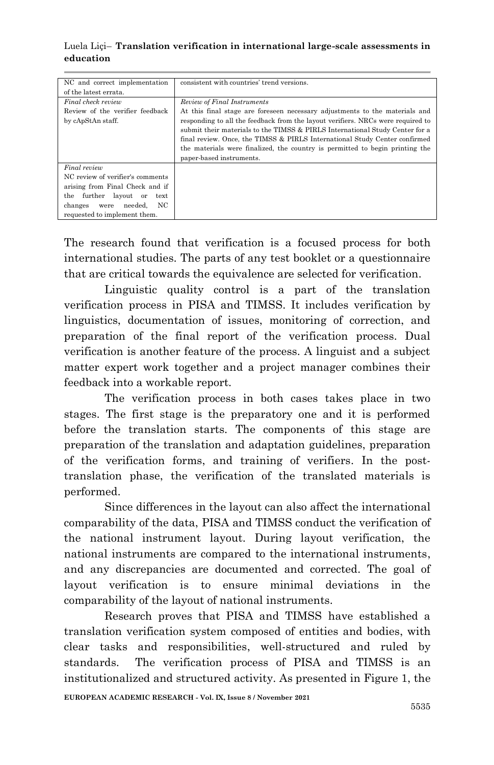| NC and correct implementation    | consistent with countries' trend versions.                                      |
|----------------------------------|---------------------------------------------------------------------------------|
| of the latest errata.            |                                                                                 |
| Final check review               | Review of Final Instruments                                                     |
| Review of the verifier feedback  | At this final stage are foreseen necessary adjustments to the materials and     |
| by cApStAn staff.                | responding to all the feedback from the layout verifiers. NRCs were required to |
|                                  | submit their materials to the TIMSS & PIRLS International Study Center for a    |
|                                  | final review. Once, the TIMSS & PIRLS International Study Center confirmed      |
|                                  | the materials were finalized, the country is permitted to begin printing the    |
|                                  | paper-based instruments.                                                        |
| Final review                     |                                                                                 |
| NC review of verifier's comments |                                                                                 |
| arising from Final Check and if  |                                                                                 |
| further layout or<br>the<br>text |                                                                                 |
| NC<br>needed.<br>changes<br>were |                                                                                 |
| requested to implement them.     |                                                                                 |

The research found that verification is a focused process for both international studies. The parts of any test booklet or a questionnaire that are critical towards the equivalence are selected for verification.

Linguistic quality control is a part of the translation verification process in PISA and TIMSS. It includes verification by linguistics, documentation of issues, monitoring of correction, and preparation of the final report of the verification process. Dual verification is another feature of the process. A linguist and a subject matter expert work together and a project manager combines their feedback into a workable report.

The verification process in both cases takes place in two stages. The first stage is the preparatory one and it is performed before the translation starts. The components of this stage are preparation of the translation and adaptation guidelines, preparation of the verification forms, and training of verifiers. In the posttranslation phase, the verification of the translated materials is performed.

Since differences in the layout can also affect the international comparability of the data, PISA and TIMSS conduct the verification of the national instrument layout. During layout verification, the national instruments are compared to the international instruments, and any discrepancies are documented and corrected. The goal of layout verification is to ensure minimal deviations in the comparability of the layout of national instruments.

Research proves that PISA and TIMSS have established a translation verification system composed of entities and bodies, with clear tasks and responsibilities, well-structured and ruled by standards. The verification process of PISA and TIMSS is an institutionalized and structured activity. As presented in Figure 1, the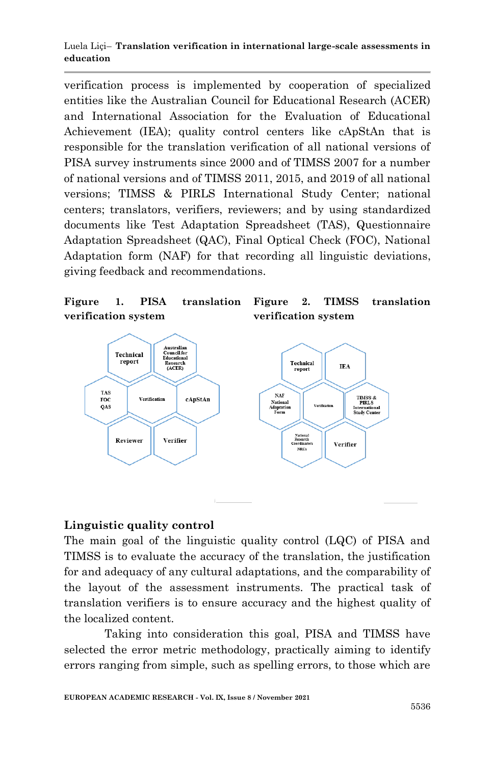verification process is implemented by cooperation of specialized entities like the Australian Council for Educational Research (ACER) and International Association for the Evaluation of Educational Achievement (IEA); quality control centers like cApStAn that is responsible for the translation verification of all national versions of PISA survey instruments since 2000 and of TIMSS 2007 for a number of national versions and of TIMSS 2011, 2015, and 2019 of all national versions; TIMSS & PIRLS International Study Center; national centers; translators, verifiers, reviewers; and by using standardized documents like Test Adaptation Spreadsheet (TAS), Questionnaire Adaptation Spreadsheet (QAC), Final Optical Check (FOC), National Adaptation form (NAF) for that recording all linguistic deviations, giving feedback and recommendations.

#### **Figure 1. PISA translation verification system**

**Figure 2. TIMSS translation verification system**



# **Linguistic quality control**

The main goal of the linguistic quality control (LQC) of PISA and TIMSS is to evaluate the accuracy of the translation, the justification for and adequacy of any cultural adaptations, and the comparability of the layout of the assessment instruments. The practical task of translation verifiers is to ensure accuracy and the highest quality of the localized content.

Taking into consideration this goal, PISA and TIMSS have selected the error metric methodology, practically aiming to identify errors ranging from simple, such as spelling errors, to those which are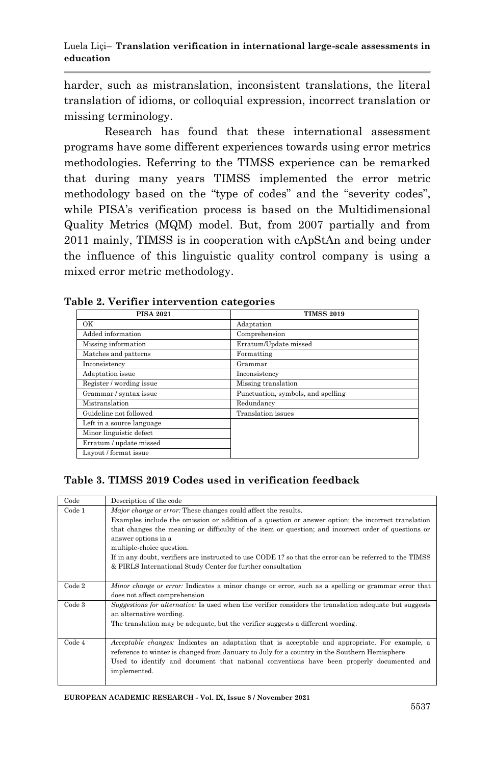harder, such as mistranslation, inconsistent translations, the literal translation of idioms, or colloquial expression, incorrect translation or missing terminology.

Research has found that these international assessment programs have some different experiences towards using error metrics methodologies. Referring to the TIMSS experience can be remarked that during many years TIMSS implemented the error metric methodology based on the "type of codes" and the "severity codes", while PISA's verification process is based on the Multidimensional Quality Metrics (MQM) model. But, from 2007 partially and from 2011 mainly, TIMSS is in cooperation with cApStAn and being under the influence of this linguistic quality control company is using a mixed error metric methodology.

| <b>PISA 2021</b>          | <b>TIMSS 2019</b>                  |
|---------------------------|------------------------------------|
| OK                        | Adaptation                         |
| Added information         | Comprehension                      |
| Missing information       | Erratum/Update missed              |
| Matches and patterns      | Formatting                         |
| Inconsistency             | Grammar                            |
| Adaptation issue          | Inconsistency                      |
| Register / wording issue  | Missing translation                |
| Grammar / syntax issue    | Punctuation, symbols, and spelling |
| Mistranslation            | Redundancy                         |
| Guideline not followed    | Translation issues                 |
| Left in a source language |                                    |
| Minor linguistic defect   |                                    |
| Erratum / update missed   |                                    |
| Layout / format issue     |                                    |

#### **Table 2. Verifier intervention categories**

### **Table 3. TIMSS 2019 Codes used in verification feedback**

| Code   | Description of the code                                                                                                                                                                                                                                                                                                                                                                                                                                                                                    |
|--------|------------------------------------------------------------------------------------------------------------------------------------------------------------------------------------------------------------------------------------------------------------------------------------------------------------------------------------------------------------------------------------------------------------------------------------------------------------------------------------------------------------|
| Code 1 | Major change or error: These changes could affect the results.<br>Examples include the omission or addition of a question or answer option; the incorrect translation<br>that changes the meaning or difficulty of the item or question; and incorrect order of questions or<br>answer options in a<br>multiple-choice question.<br>If in any doubt, verifiers are instructed to use CODE 1? so that the error can be referred to the TIMSS<br>& PIRLS International Study Center for further consultation |
| Code 2 | <i>Minor change or error:</i> Indicates a minor change or error, such as a spelling or grammar error that<br>does not affect comprehension                                                                                                                                                                                                                                                                                                                                                                 |
| Code 3 | Suggestions for alternative. Is used when the verifier considers the translation adequate but suggests<br>an alternative wording.<br>The translation may be adequate, but the verifier suggests a different wording.                                                                                                                                                                                                                                                                                       |
| Code 4 | <i>Acceptable changes:</i> Indicates an adaptation that is acceptable and appropriate. For example, a<br>reference to winter is changed from January to July for a country in the Southern Hemisphere<br>Used to identify and document that national conventions have been properly documented and<br>implemented.                                                                                                                                                                                         |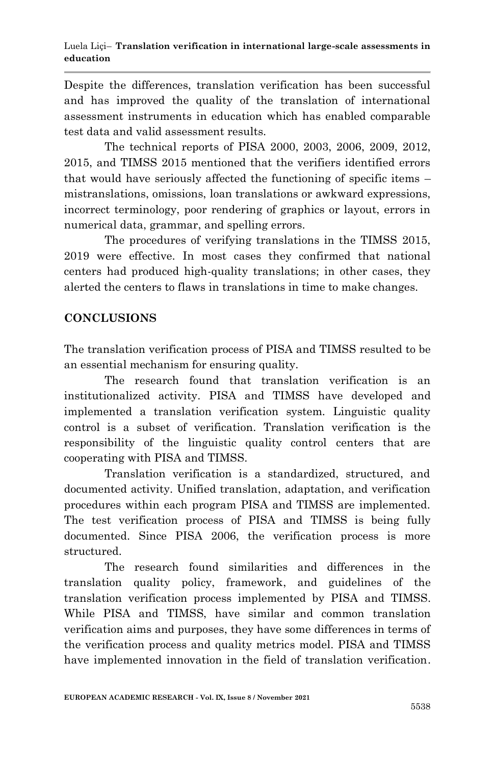Despite the differences, translation verification has been successful and has improved the quality of the translation of international assessment instruments in education which has enabled comparable test data and valid assessment results.

The technical reports of PISA 2000, 2003, 2006, 2009, 2012, 2015, and TIMSS 2015 mentioned that the verifiers identified errors that would have seriously affected the functioning of specific items – mistranslations, omissions, loan translations or awkward expressions, incorrect terminology, poor rendering of graphics or layout, errors in numerical data, grammar, and spelling errors.

The procedures of verifying translations in the TIMSS 2015, 2019 were effective. In most cases they confirmed that national centers had produced high-quality translations; in other cases, they alerted the centers to flaws in translations in time to make changes.

# **CONCLUSIONS**

The translation verification process of PISA and TIMSS resulted to be an essential mechanism for ensuring quality.

The research found that translation verification is an institutionalized activity. PISA and TIMSS have developed and implemented a translation verification system. Linguistic quality control is a subset of verification. Translation verification is the responsibility of the linguistic quality control centers that are cooperating with PISA and TIMSS.

Translation verification is a standardized, structured, and documented activity. Unified translation, adaptation, and verification procedures within each program PISA and TIMSS are implemented. The test verification process of PISA and TIMSS is being fully documented. Since PISA 2006, the verification process is more structured.

The research found similarities and differences in the translation quality policy, framework, and guidelines of the translation verification process implemented by PISA and TIMSS. While PISA and TIMSS, have similar and common translation verification aims and purposes, they have some differences in terms of the verification process and quality metrics model. PISA and TIMSS have implemented innovation in the field of translation verification.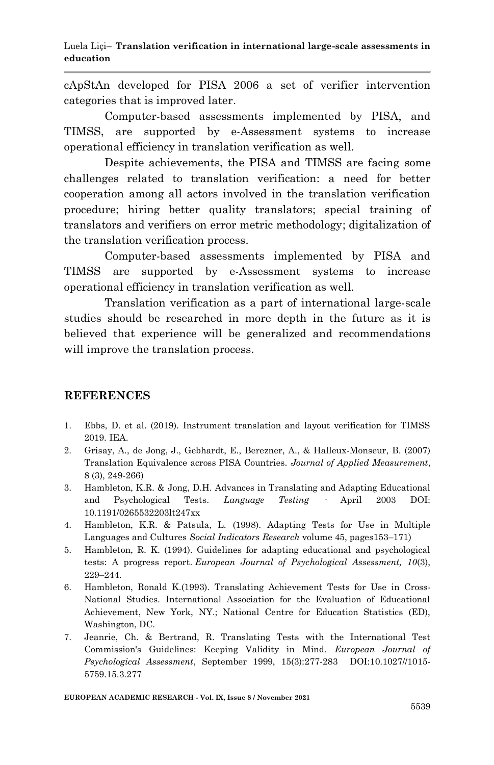cApStAn developed for PISA 2006 a set of verifier intervention categories that is improved later.

Computer-based assessments implemented by PISA, and TIMSS, are supported by e-Assessment systems to increase operational efficiency in translation verification as well.

Despite achievements, the PISA and TIMSS are facing some challenges related to translation verification: a need for better cooperation among all actors involved in the translation verification procedure; hiring better quality translators; special training of translators and verifiers on error metric methodology; digitalization of the translation verification process.

Computer-based assessments implemented by PISA and TIMSS are supported by e-Assessment systems to increase operational efficiency in translation verification as well.

Translation verification as a part of international large-scale studies should be researched in more depth in the future as it is believed that experience will be generalized and recommendations will improve the translation process.

### **REFERENCES**

- 1. Ebbs, D. et al. (2019). Instrument translation and layout verification for TIMSS 2019. IEA.
- 2. Grisay, A., de Jong, J., Gebhardt, E., Berezner, A., & Halleux-Monseur, B. (2007) Translation Equivalence across PISA Countries. *Journal of Applied Measurement*, 8 (3), 249-266)
- 3. Hambleton, K.R. & Jong, D.H. Advances in Translating and Adapting Educational and Psychological Tests. *Language Testing* · April 2003 DOI: 10.1191/0265532203lt247xx
- 4. Hambleton, K.R. & Patsula, L. (1998). Adapting Tests for Use in Multiple Languages and Cultures *Social Indicators Research* volume 45, pages153–171)
- 5. Hambleton, R. K. (1994). Guidelines for adapting educational and psychological tests: A progress report. *European Journal of Psychological Assessment, 10*(3), 229–244.
- 6. Hambleton, Ronald K.(1993). Translating Achievement Tests for Use in Cross-National Studies*.* International Association for the Evaluation of Educational Achievement, New York, NY.; National Centre for Education Statistics (ED), Washington, DC.
- 7. Jeanrie, Ch. & Bertrand, R. Translating Tests with the International Test Commission's Guidelines: Keeping Validity in Mind. *European Journal of Psychological Assessment*, September 1999, 15(3):277-283 DOI:10.1027//1015- 5759.15.3.277